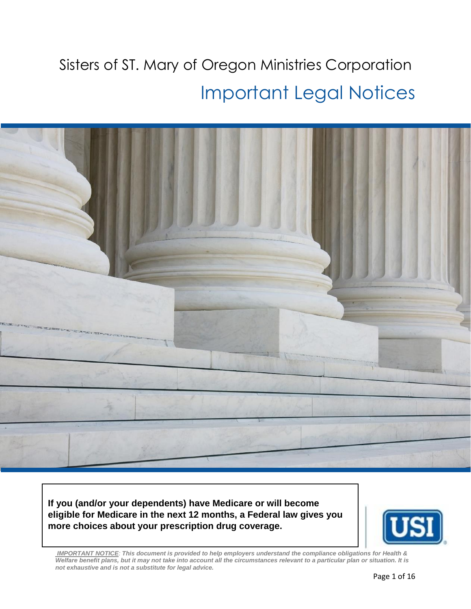# Sisters of ST. Mary of Oregon Ministries Corporation Important Legal Notices



**If you (and/or your dependents) have Medicare or will become eligible for Medicare in the next 12 months, a Federal law gives you more choices about your prescription drug coverage.** 



*IMPORTANT NOTICE: This document is provided to help employers understand the compliance obligations for Health & Welfare benefit plans, but it may not take into account all the circumstances relevant to a particular plan or situation. It is not exhaustive and is not a substitute for legal advice.*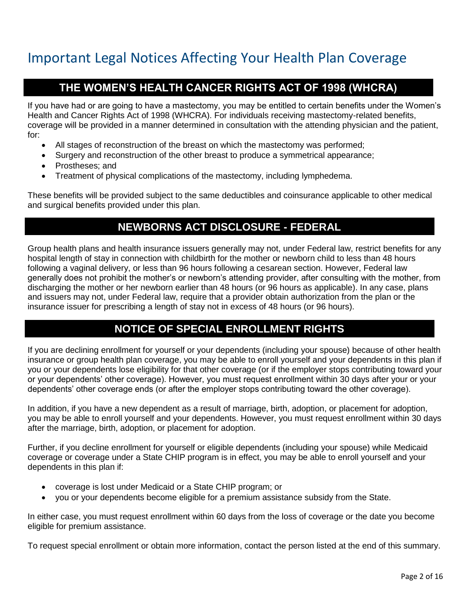# Important Legal Notices Affecting Your Health Plan Coverage

### **THE WOMEN'S HEALTH CANCER RIGHTS ACT OF 1998 (WHCRA)**

If you have had or are going to have a mastectomy, you may be entitled to certain benefits under the Women's Health and Cancer Rights Act of 1998 (WHCRA). For individuals receiving mastectomy-related benefits, coverage will be provided in a manner determined in consultation with the attending physician and the patient, for:

- All stages of reconstruction of the breast on which the mastectomy was performed;
- Surgery and reconstruction of the other breast to produce a symmetrical appearance;
- Prostheses; and
- Treatment of physical complications of the mastectomy, including lymphedema.

These benefits will be provided subject to the same deductibles and coinsurance applicable to other medical and surgical benefits provided under this plan.

### **NEWBORNS ACT DISCLOSURE - FEDERAL**

Group health plans and health insurance issuers generally may not, under Federal law, restrict benefits for any hospital length of stay in connection with childbirth for the mother or newborn child to less than 48 hours following a vaginal delivery, or less than 96 hours following a cesarean section. However, Federal law generally does not prohibit the mother's or newborn's attending provider, after consulting with the mother, from discharging the mother or her newborn earlier than 48 hours (or 96 hours as applicable). In any case, plans and issuers may not, under Federal law, require that a provider obtain authorization from the plan or the insurance issuer for prescribing a length of stay not in excess of 48 hours (or 96 hours).

### **NOTICE OF SPECIAL ENROLLMENT RIGHTS**

If you are declining enrollment for yourself or your dependents (including your spouse) because of other health insurance or group health plan coverage, you may be able to enroll yourself and your dependents in this plan if you or your dependents lose eligibility for that other coverage (or if the employer stops contributing toward your or your dependents' other coverage). However, you must request enrollment within 30 days after your or your dependents' other coverage ends (or after the employer stops contributing toward the other coverage).

In addition, if you have a new dependent as a result of marriage, birth, adoption, or placement for adoption, you may be able to enroll yourself and your dependents. However, you must request enrollment within 30 days after the marriage, birth, adoption, or placement for adoption.

Further, if you decline enrollment for yourself or eligible dependents (including your spouse) while Medicaid coverage or coverage under a State CHIP program is in effect, you may be able to enroll yourself and your dependents in this plan if:

- coverage is lost under Medicaid or a State CHIP program; or
- you or your dependents become eligible for a premium assistance subsidy from the State.

In either case, you must request enrollment within 60 days from the loss of coverage or the date you become eligible for premium assistance.

To request special enrollment or obtain more information, contact the person listed at the end of this summary.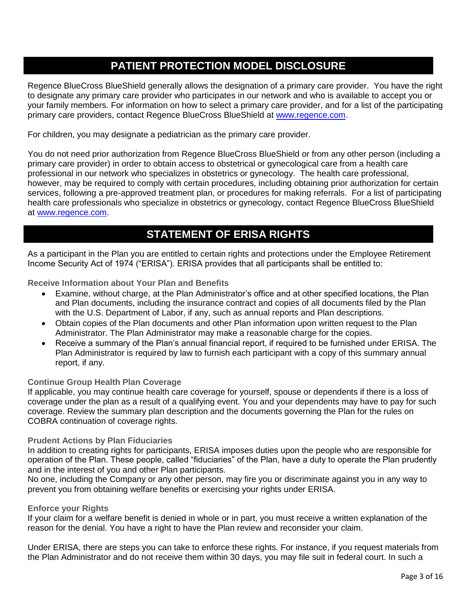### **PATIENT PROTECTION MODEL DISCLOSURE**

Regence BlueCross BlueShield generally allows the designation of a primary care provider. You have the right to designate any primary care provider who participates in our network and who is available to accept you or your family members. For information on how to select a primary care provider, and for a list of the participating primary care providers, contact Regence BlueCross BlueShield at [www.r](http://www./)egence.com.

For children, you may designate a pediatrician as the primary care provider.

You do not need prior authorization from Regence BlueCross BlueShield or from any other person (including a primary care provider) in order to obtain access to obstetrical or gynecological care from a health care professional in our network who specializes in obstetrics or gynecology. The health care professional, however, may be required to comply with certain procedures, including obtaining prior authorization for certain services, following a pre-approved treatment plan, or procedures for making referrals. For a list of participating health care professionals who specialize in obstetrics or gynecology, contact Regence BlueCross BlueShield at [www.r](http://www./)egence.com.

### **STATEMENT OF ERISA RIGHTS**

As a participant in the Plan you are entitled to certain rights and protections under the Employee Retirement Income Security Act of 1974 ("ERISA"). ERISA provides that all participants shall be entitled to:

**Receive Information about Your Plan and Benefits**

- Examine, without charge, at the Plan Administrator's office and at other specified locations, the Plan and Plan documents, including the insurance contract and copies of all documents filed by the Plan with the U.S. Department of Labor, if any, such as annual reports and Plan descriptions.
- Obtain copies of the Plan documents and other Plan information upon written request to the Plan Administrator. The Plan Administrator may make a reasonable charge for the copies.
- Receive a summary of the Plan's annual financial report, if required to be furnished under ERISA. The Plan Administrator is required by law to furnish each participant with a copy of this summary annual report, if any.

#### **Continue Group Health Plan Coverage**

If applicable, you may continue health care coverage for yourself, spouse or dependents if there is a loss of coverage under the plan as a result of a qualifying event. You and your dependents may have to pay for such coverage. Review the summary plan description and the documents governing the Plan for the rules on COBRA continuation of coverage rights.

#### **Prudent Actions by Plan Fiduciaries**

In addition to creating rights for participants, ERISA imposes duties upon the people who are responsible for operation of the Plan. These people, called "fiduciaries" of the Plan, have a duty to operate the Plan prudently and in the interest of you and other Plan participants.

No one, including the Company or any other person, may fire you or discriminate against you in any way to prevent you from obtaining welfare benefits or exercising your rights under ERISA.

#### **Enforce your Rights**

If your claim for a welfare benefit is denied in whole or in part, you must receive a written explanation of the reason for the denial. You have a right to have the Plan review and reconsider your claim.

Under ERISA, there are steps you can take to enforce these rights. For instance, if you request materials from the Plan Administrator and do not receive them within 30 days, you may file suit in federal court. In such a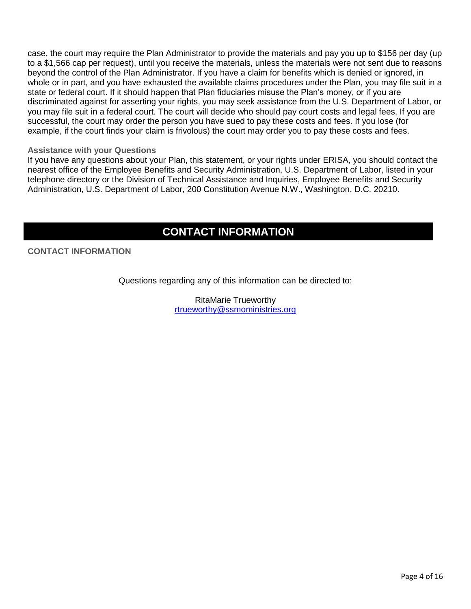case, the court may require the Plan Administrator to provide the materials and pay you up to \$156 per day (up to a \$1,566 cap per request), until you receive the materials, unless the materials were not sent due to reasons beyond the control of the Plan Administrator. If you have a claim for benefits which is denied or ignored, in whole or in part, and you have exhausted the available claims procedures under the Plan, you may file suit in a state or federal court. If it should happen that Plan fiduciaries misuse the Plan's money, or if you are discriminated against for asserting your rights, you may seek assistance from the U.S. Department of Labor, or you may file suit in a federal court. The court will decide who should pay court costs and legal fees. If you are successful, the court may order the person you have sued to pay these costs and fees. If you lose (for example, if the court finds your claim is frivolous) the court may order you to pay these costs and fees.

#### **Assistance with your Questions**

If you have any questions about your Plan, this statement, or your rights under ERISA, you should contact the nearest office of the Employee Benefits and Security Administration, U.S. Department of Labor, listed in your telephone directory or the Division of Technical Assistance and Inquiries, Employee Benefits and Security Administration, U.S. Department of Labor, 200 Constitution Avenue N.W., Washington, D.C. 20210.

### **CONTACT INFORMATION**

**CONTACT INFORMATION**

Questions regarding any of this information can be directed to:

RitaMarie Trueworthy [rtrueworthy@ssmoministries.org](mailto:rtrueworthy@ssmoministries.org)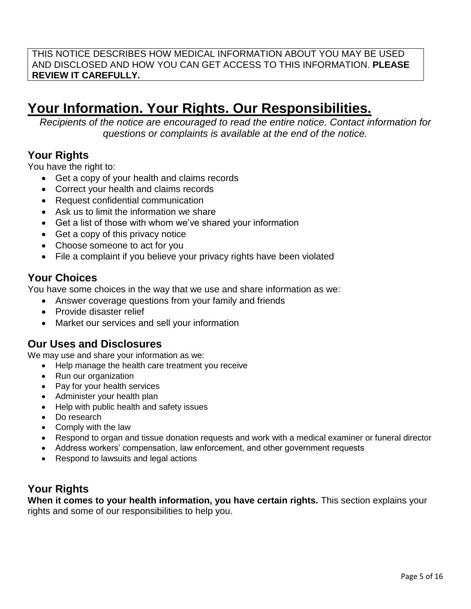THIS NOTICE DESCRIBES HOW MEDICAL INFORMATION ABOUT YOU MAY BE USED AND DISCLOSED AND HOW YOU CAN GET ACCESS TO THIS INFORMATION. **PLEASE REVIEW IT CAREFULLY.**

## **Your Information. Your Rights. Our Responsibilities.**

*Recipients of the notice are encouraged to read the entire notice. Contact information for questions or complaints is available at the end of the notice.*

### **Your Rights**

You have the right to:

- Get a copy of your health and claims records
- Correct your health and claims records
- Request confidential communication
- Ask us to limit the information we share
- Get a list of those with whom we've shared your information
- Get a copy of this privacy notice
- Choose someone to act for you
- File a complaint if you believe your privacy rights have been violated

### **Your Choices**

You have some choices in the way that we use and share information as we:

- Answer coverage questions from your family and friends
- Provide disaster relief
- Market our services and sell your information

### **Our Uses and Disclosures**

We may use and share your information as we:

- Help manage the health care treatment you receive
- Run our organization
- Pay for your health services
- Administer your health plan
- Help with public health and safety issues
- Do research
- Comply with the law
- Respond to organ and tissue donation requests and work with a medical examiner or funeral director
- Address workers' compensation, law enforcement, and other government requests
- Respond to lawsuits and legal actions

### **Your Rights**

**When it comes to your health information, you have certain rights.** This section explains your rights and some of our responsibilities to help you.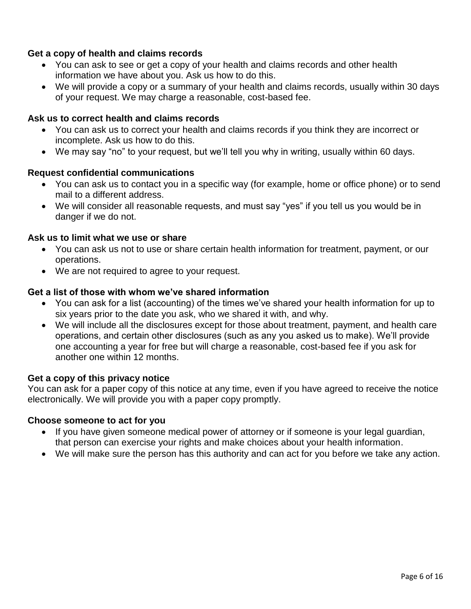#### **Get a copy of health and claims records**

- You can ask to see or get a copy of your health and claims records and other health information we have about you. Ask us how to do this.
- We will provide a copy or a summary of your health and claims records, usually within 30 days of your request. We may charge a reasonable, cost-based fee.

#### **Ask us to correct health and claims records**

- You can ask us to correct your health and claims records if you think they are incorrect or incomplete. Ask us how to do this.
- We may say "no" to your request, but we'll tell you why in writing, usually within 60 days.

#### **Request confidential communications**

- You can ask us to contact you in a specific way (for example, home or office phone) or to send mail to a different address.
- We will consider all reasonable requests, and must say "yes" if you tell us you would be in danger if we do not.

#### **Ask us to limit what we use or share**

- You can ask us not to use or share certain health information for treatment, payment, or our operations.
- We are not required to agree to your request.

#### **Get a list of those with whom we've shared information**

- You can ask for a list (accounting) of the times we've shared your health information for up to six years prior to the date you ask, who we shared it with, and why.
- We will include all the disclosures except for those about treatment, payment, and health care operations, and certain other disclosures (such as any you asked us to make). We'll provide one accounting a year for free but will charge a reasonable, cost-based fee if you ask for another one within 12 months.

#### **Get a copy of this privacy notice**

You can ask for a paper copy of this notice at any time, even if you have agreed to receive the notice electronically. We will provide you with a paper copy promptly.

#### **Choose someone to act for you**

- If you have given someone medical power of attorney or if someone is your legal guardian, that person can exercise your rights and make choices about your health information.
- We will make sure the person has this authority and can act for you before we take any action.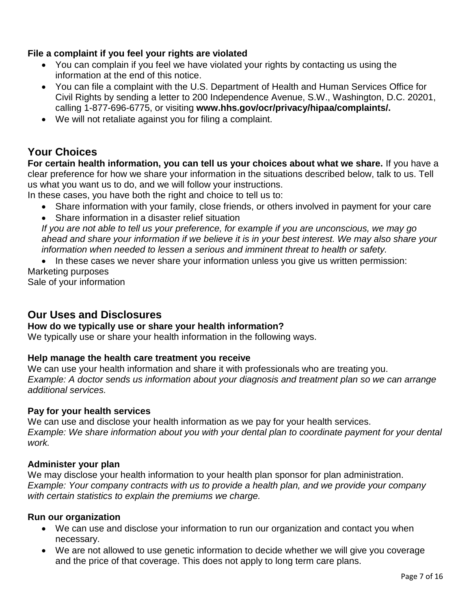#### **File a complaint if you feel your rights are violated**

- You can complain if you feel we have violated your rights by contacting us using the information at the end of this notice.
- You can file a complaint with the U.S. Department of Health and Human Services Office for Civil Rights by sending a letter to 200 Independence Avenue, S.W., Washington, D.C. 20201, calling 1-877-696-6775, or visiting **www.hhs.gov/ocr/privacy/hipaa/complaints/.**
- We will not retaliate against you for filing a complaint.

### **Your Choices**

**For certain health information, you can tell us your choices about what we share.** If you have a clear preference for how we share your information in the situations described below, talk to us. Tell us what you want us to do, and we will follow your instructions.

In these cases, you have both the right and choice to tell us to:

- Share information with your family, close friends, or others involved in payment for your care
- Share information in a disaster relief situation

*If you are not able to tell us your preference, for example if you are unconscious, we may go ahead and share your information if we believe it is in your best interest. We may also share your information when needed to lessen a serious and imminent threat to health or safety.*

• In these cases we never share your information unless you give us written permission: Marketing purposes

Sale of your information

### **Our Uses and Disclosures**

#### **How do we typically use or share your health information?**

We typically use or share your health information in the following ways.

#### **Help manage the health care treatment you receive**

We can use your health information and share it with professionals who are treating you. *Example: A doctor sends us information about your diagnosis and treatment plan so we can arrange additional services.*

#### **Pay for your health services**

We can use and disclose your health information as we pay for your health services. *Example: We share information about you with your dental plan to coordinate payment for your dental work.*

#### **Administer your plan**

We may disclose your health information to your health plan sponsor for plan administration. *Example: Your company contracts with us to provide a health plan, and we provide your company with certain statistics to explain the premiums we charge.*

#### **Run our organization**

- We can use and disclose your information to run our organization and contact you when necessary.
- We are not allowed to use genetic information to decide whether we will give you coverage and the price of that coverage. This does not apply to long term care plans.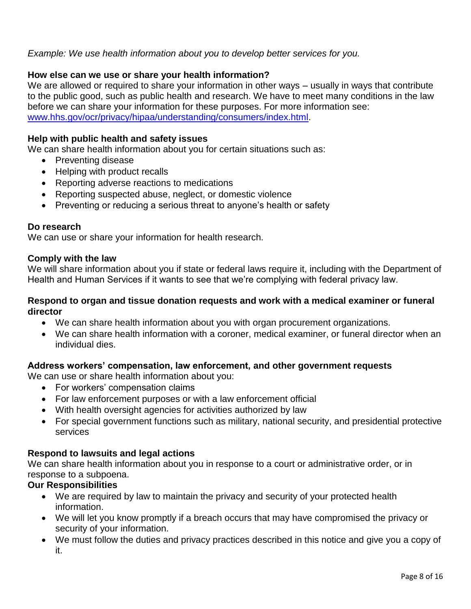#### *Example: We use health information about you to develop better services for you.*

#### **How else can we use or share your health information?**

We are allowed or required to share your information in other ways – usually in ways that contribute to the public good, such as public health and research. We have to meet many conditions in the law before we can share your information for these purposes. For more information see: [www.hhs.gov/ocr/privacy/hipaa/understanding/consumers/index.html.](http://www.hhs.gov/ocr/privacy/hipaa/understanding/consumers/index.html)

#### **Help with public health and safety issues**

We can share health information about you for certain situations such as:

- Preventing disease
- Helping with product recalls
- Reporting adverse reactions to medications
- Reporting suspected abuse, neglect, or domestic violence
- Preventing or reducing a serious threat to anyone's health or safety

#### **Do research**

We can use or share your information for health research.

#### **Comply with the law**

We will share information about you if state or federal laws require it, including with the Department of Health and Human Services if it wants to see that we're complying with federal privacy law.

#### **Respond to organ and tissue donation requests and work with a medical examiner or funeral director**

- We can share health information about you with organ procurement organizations.
- We can share health information with a coroner, medical examiner, or funeral director when an individual dies.

#### **Address workers' compensation, law enforcement, and other government requests**

We can use or share health information about you:

- For workers' compensation claims
- For law enforcement purposes or with a law enforcement official
- With health oversight agencies for activities authorized by law
- For special government functions such as military, national security, and presidential protective services

#### **Respond to lawsuits and legal actions**

We can share health information about you in response to a court or administrative order, or in response to a subpoena.

#### **Our Responsibilities**

- We are required by law to maintain the privacy and security of your protected health information.
- We will let you know promptly if a breach occurs that may have compromised the privacy or security of your information.
- We must follow the duties and privacy practices described in this notice and give you a copy of it.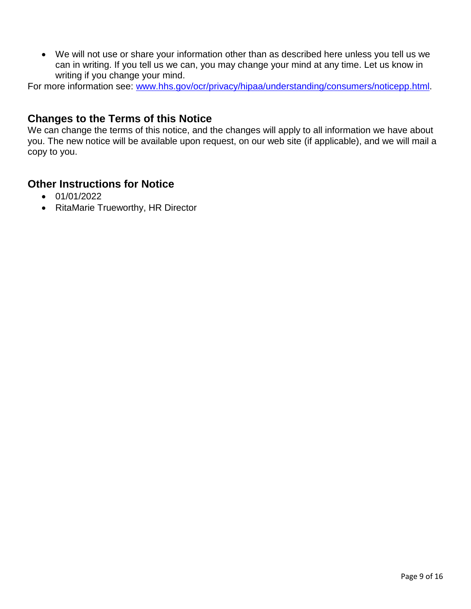• We will not use or share your information other than as described here unless you tell us we can in writing. If you tell us we can, you may change your mind at any time. Let us know in writing if you change your mind.

For more information see: [www.hhs.gov/ocr/privacy/hipaa/understanding/consumers/noticepp.html.](http://www.hhs.gov/ocr/privacy/hipaa/understanding/consumers/noticepp.html)

### **Changes to the Terms of this Notice**

We can change the terms of this notice, and the changes will apply to all information we have about you. The new notice will be available upon request, on our web site (if applicable), and we will mail a copy to you.

### **Other Instructions for Notice**

- 01/01/2022
- RitaMarie Trueworthy, HR Director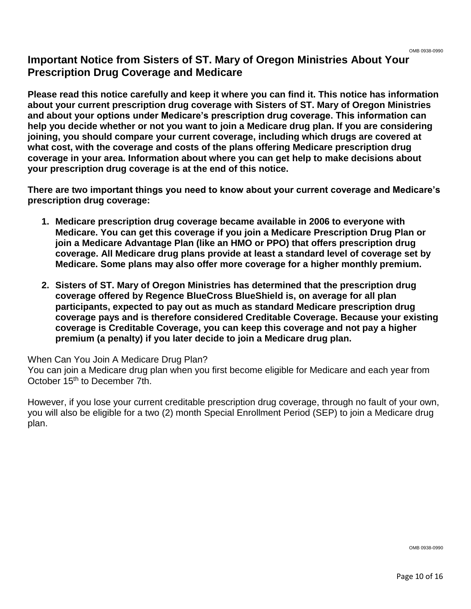### **Important Notice from Sisters of ST. Mary of Oregon Ministries About Your Prescription Drug Coverage and Medicare**

**Please read this notice carefully and keep it where you can find it. This notice has information about your current prescription drug coverage with Sisters of ST. Mary of Oregon Ministries and about your options under Medicare's prescription drug coverage. This information can help you decide whether or not you want to join a Medicare drug plan. If you are considering joining, you should compare your current coverage, including which drugs are covered at what cost, with the coverage and costs of the plans offering Medicare prescription drug coverage in your area. Information about where you can get help to make decisions about your prescription drug coverage is at the end of this notice.** 

**There are two important things you need to know about your current coverage and Medicare's prescription drug coverage:** 

- **1. Medicare prescription drug coverage became available in 2006 to everyone with Medicare. You can get this coverage if you join a Medicare Prescription Drug Plan or join a Medicare Advantage Plan (like an HMO or PPO) that offers prescription drug coverage. All Medicare drug plans provide at least a standard level of coverage set by Medicare. Some plans may also offer more coverage for a higher monthly premium.**
- **2. Sisters of ST. Mary of Oregon Ministries has determined that the prescription drug coverage offered by Regence BlueCross BlueShield is, on average for all plan participants, expected to pay out as much as standard Medicare prescription drug coverage pays and is therefore considered Creditable Coverage. Because your existing coverage is Creditable Coverage, you can keep this coverage and not pay a higher premium (a penalty) if you later decide to join a Medicare drug plan.**

When Can You Join A Medicare Drug Plan?

You can join a Medicare drug plan when you first become eligible for Medicare and each year from October 15<sup>th</sup> to December 7th.

However, if you lose your current creditable prescription drug coverage, through no fault of your own, you will also be eligible for a two (2) month Special Enrollment Period (SEP) to join a Medicare drug plan.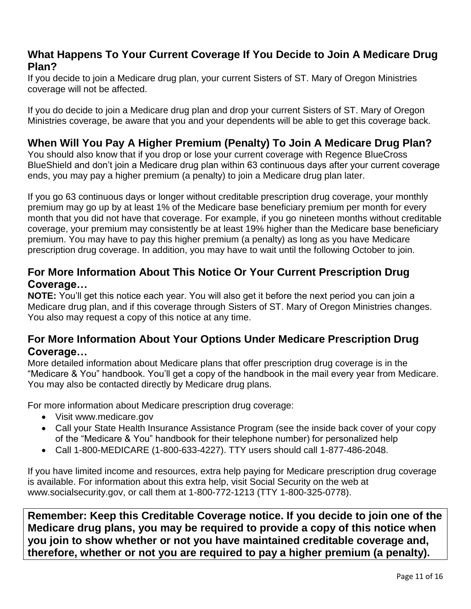### **What Happens To Your Current Coverage If You Decide to Join A Medicare Drug Plan?**

If you decide to join a Medicare drug plan, your current Sisters of ST. Mary of Oregon Ministries coverage will not be affected.

If you do decide to join a Medicare drug plan and drop your current Sisters of ST. Mary of Oregon Ministries coverage, be aware that you and your dependents will be able to get this coverage back.

### **When Will You Pay A Higher Premium (Penalty) To Join A Medicare Drug Plan?**

You should also know that if you drop or lose your current coverage with Regence BlueCross BlueShield and don't join a Medicare drug plan within 63 continuous days after your current coverage ends, you may pay a higher premium (a penalty) to join a Medicare drug plan later.

If you go 63 continuous days or longer without creditable prescription drug coverage, your monthly premium may go up by at least 1% of the Medicare base beneficiary premium per month for every month that you did not have that coverage. For example, if you go nineteen months without creditable coverage, your premium may consistently be at least 19% higher than the Medicare base beneficiary premium. You may have to pay this higher premium (a penalty) as long as you have Medicare prescription drug coverage. In addition, you may have to wait until the following October to join.

### **For More Information About This Notice Or Your Current Prescription Drug Coverage…**

**NOTE:** You'll get this notice each year. You will also get it before the next period you can join a Medicare drug plan, and if this coverage through Sisters of ST. Mary of Oregon Ministries changes. You also may request a copy of this notice at any time.

### **For More Information About Your Options Under Medicare Prescription Drug Coverage…**

More detailed information about Medicare plans that offer prescription drug coverage is in the "Medicare & You" handbook. You'll get a copy of the handbook in the mail every year from Medicare. You may also be contacted directly by Medicare drug plans.

For more information about Medicare prescription drug coverage:

- Visit www.medicare.gov
- Call your State Health Insurance Assistance Program (see the inside back cover of your copy of the "Medicare & You" handbook for their telephone number) for personalized help
- Call 1-800-MEDICARE (1-800-633-4227). TTY users should call 1-877-486-2048.

If you have limited income and resources, extra help paying for Medicare prescription drug coverage is available. For information about this extra help, visit Social Security on the web at www.socialsecurity.gov, or call them at 1-800-772-1213 (TTY 1-800-325-0778).

**Remember: Keep this Creditable Coverage notice. If you decide to join one of the Medicare drug plans, you may be required to provide a copy of this notice when you join to show whether or not you have maintained creditable coverage and, therefore, whether or not you are required to pay a higher premium (a penalty).**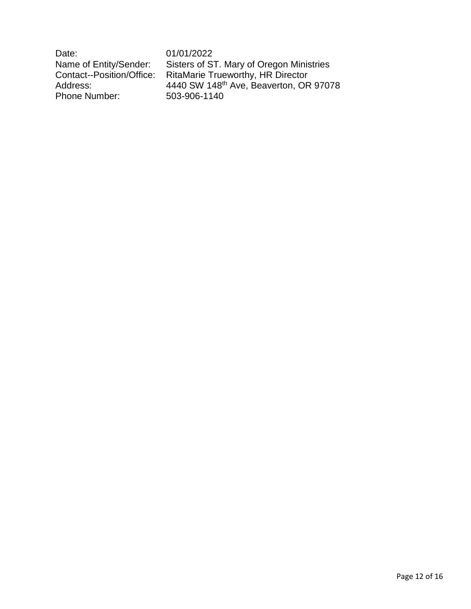| Date:                     | 01/01/2022                                         |
|---------------------------|----------------------------------------------------|
| Name of Entity/Sender:    | Sisters of ST. Mary of Oregon Ministries           |
| Contact--Position/Office: | <b>RitaMarie Trueworthy, HR Director</b>           |
| Address:                  | 4440 SW 148 <sup>th</sup> Ave, Beaverton, OR 97078 |
| <b>Phone Number:</b>      | 503-906-1140                                       |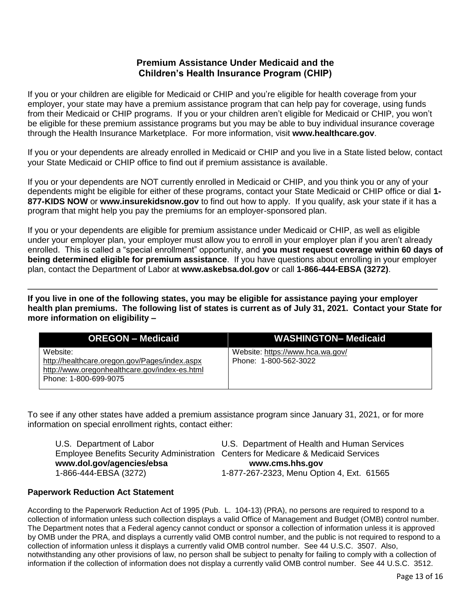#### **Premium Assistance Under Medicaid and the Children's Health Insurance Program (CHIP)**

If you or your children are eligible for Medicaid or CHIP and you're eligible for health coverage from your employer, your state may have a premium assistance program that can help pay for coverage, using funds from their Medicaid or CHIP programs. If you or your children aren't eligible for Medicaid or CHIP, you won't be eligible for these premium assistance programs but you may be able to buy individual insurance coverage through the Health Insurance Marketplace. For more information, visit **[www.healthcare.gov](http://www.healthcare.gov/)**.

If you or your dependents are already enrolled in Medicaid or CHIP and you live in a State listed below, contact your State Medicaid or CHIP office to find out if premium assistance is available.

If you or your dependents are NOT currently enrolled in Medicaid or CHIP, and you think you or any of your dependents might be eligible for either of these programs, contact your State Medicaid or CHIP office or dial **1- 877-KIDS NOW** or **[www.insurekidsnow.gov](http://www.insurekidsnow.gov/)** to find out how to apply. If you qualify, ask your state if it has a program that might help you pay the premiums for an employer-sponsored plan.

If you or your dependents are eligible for premium assistance under Medicaid or CHIP, as well as eligible under your employer plan, your employer must allow you to enroll in your employer plan if you aren't already enrolled. This is called a "special enrollment" opportunity, and **you must request coverage within 60 days of being determined eligible for premium assistance**. If you have questions about enrolling in your employer plan, contact the Department of Labor at **[www.askebsa.dol.gov](http://www.askebsa.dol.gov/)** or call **1-866-444-EBSA (3272)**.

**If you live in one of the following states, you may be eligible for assistance paying your employer health plan premiums. The following list of states is current as of July 31, 2021. Contact your State for more information on eligibility –**

| <b>OREGON</b> – Medicaid                                                                                                            | WASHINGTON- Medicaid                                      |
|-------------------------------------------------------------------------------------------------------------------------------------|-----------------------------------------------------------|
| Website:<br>http://healthcare.oregon.gov/Pages/index.aspx<br>http://www.oregonhealthcare.gov/index-es.html<br>Phone: 1-800-699-9075 | Website: https://www.hca.wa.gov/<br>Phone: 1-800-562-3022 |

To see if any other states have added a premium assistance program since January 31, 2021, or for more information on special enrollment rights, contact either:

| U.S. Department of Labor                                                           | U.S. Department of Health and Human Services |  |
|------------------------------------------------------------------------------------|----------------------------------------------|--|
| Employee Benefits Security Administration Centers for Medicare & Medicaid Services |                                              |  |
| www.dol.gov/agencies/ebsa                                                          | www.cms.hhs.gov                              |  |
| 1-866-444-EBSA (3272)                                                              | 1-877-267-2323, Menu Option 4, Ext. 61565    |  |

#### **Paperwork Reduction Act Statement**

According to the Paperwork Reduction Act of 1995 (Pub. L. 104-13) (PRA), no persons are required to respond to a collection of information unless such collection displays a valid Office of Management and Budget (OMB) control number. The Department notes that a Federal agency cannot conduct or sponsor a collection of information unless it is approved by OMB under the PRA, and displays a currently valid OMB control number, and the public is not required to respond to a collection of information unless it displays a currently valid OMB control number. See 44 U.S.C. 3507. Also, notwithstanding any other provisions of law, no person shall be subject to penalty for failing to comply with a collection of information if the collection of information does not display a currently valid OMB control number. See 44 U.S.C. 3512.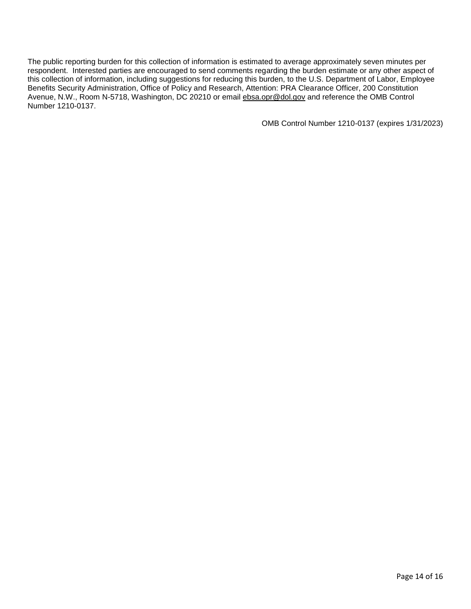The public reporting burden for this collection of information is estimated to average approximately seven minutes per respondent. Interested parties are encouraged to send comments regarding the burden estimate or any other aspect of this collection of information, including suggestions for reducing this burden, to the U.S. Department of Labor, Employee Benefits Security Administration, Office of Policy and Research, Attention: PRA Clearance Officer, 200 Constitution Avenue, N.W., Room N-5718, Washington, DC 20210 or email [ebsa.opr@dol.gov](mailto:ebsa.opr@dol.gov) and reference the OMB Control Number 1210-0137.

OMB Control Number 1210-0137 (expires 1/31/2023)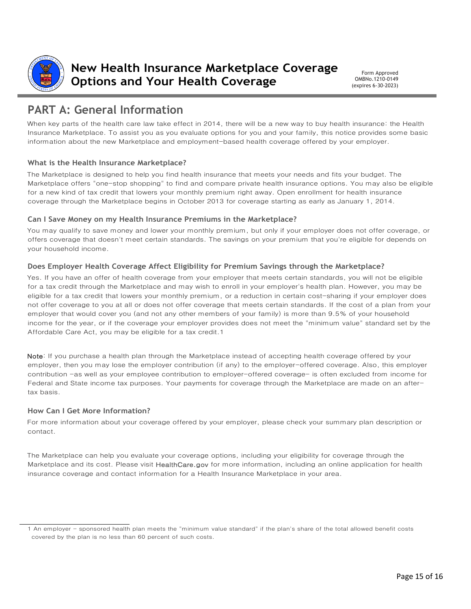

**New Health Insurance Marketplace Coverage Options and Your Health Coverage**

Form Approved OMBNo.1210-0149 (expires 6-30-2023)

### **PART A: General Information**

When key parts of the health care law take effect in 2014, there will be a new way to buy health insurance: the Health Insurance Marketplace. To assist you as you evaluate options for you and your family, this notice provides some basic information about the new Marketplace and employment-based health coverage offered by your employer.

#### **What is the Health Insurance Marketplace?**

The Marketplace is designed to help you find health insurance that meets your needs and fits your budget. The Marketplace offers "one-stop shopping" to find and compare private health insurance options. You may also be eligible for a new kind of tax credit that lowers your monthly premium right away. Open enrollment for health insurance coverage through the Marketplace begins in October 2013 for coverage starting as early as January 1, 2014.

#### **Can I Save Money on my Health Insurance Premiums in the Marketplace?**

You may qualify to save money and lower your monthly premium, but only if your employer does not offer coverage, or offers coverage that doesn't meet certain standards. The savings on your premium that you're eligible for depends on your household income.

#### **Does Employer Health Coverage Affect Eligibility for Premium Savings through the Marketplace?**

Yes. If you have an offer of health coverage from your employer that meets certain standards, you will not be eligible for a tax credit through the Marketplace and may wish to enroll in your employer's health plan. However, you may be eligible for a tax credit that lowers your monthly premium, or a reduction in certain cost-sharing if your employer does not offer coverage to you at all or does not offer coverage that meets certain standards. If the cost of a plan from your employer that would cover you (and not any other members of your family) is more than 9.5% of your household income for the year, or if the coverage your employer provides does not meet the "minimum value" standard set by the Affordable Care Act, you may be eligible for a tax credit.1

Note: If you purchase a health plan through the Marketplace instead of accepting health coverage offered by your employer, then you may lose the employer contribution (if any) to the employer-offered coverage. Also, this employer contribution -as well as your employee contribution to employer-offered coverage- is often excluded from income for Federal and State income tax purposes. Your payments for coverage through the Marketplace are made on an aftertax basis.

#### **How Can I Get More Information?**

For more information about your coverage offered by your employer, please check your summary plan description or contact.

The Marketplace can help you evaluate your coverage options, including your eligibility for coverage through the Marketplace and its cost. Please visit HealthCare.gov for more information, including an online application for health insurance coverage and contact information for a Health Insurance Marketplace in your area.

<sup>1</sup> An employer - sponsored health plan meets the "minimum value standard" if the plan's share of the total allowed benefit costs covered by the plan is no less than 60 percent of such costs.